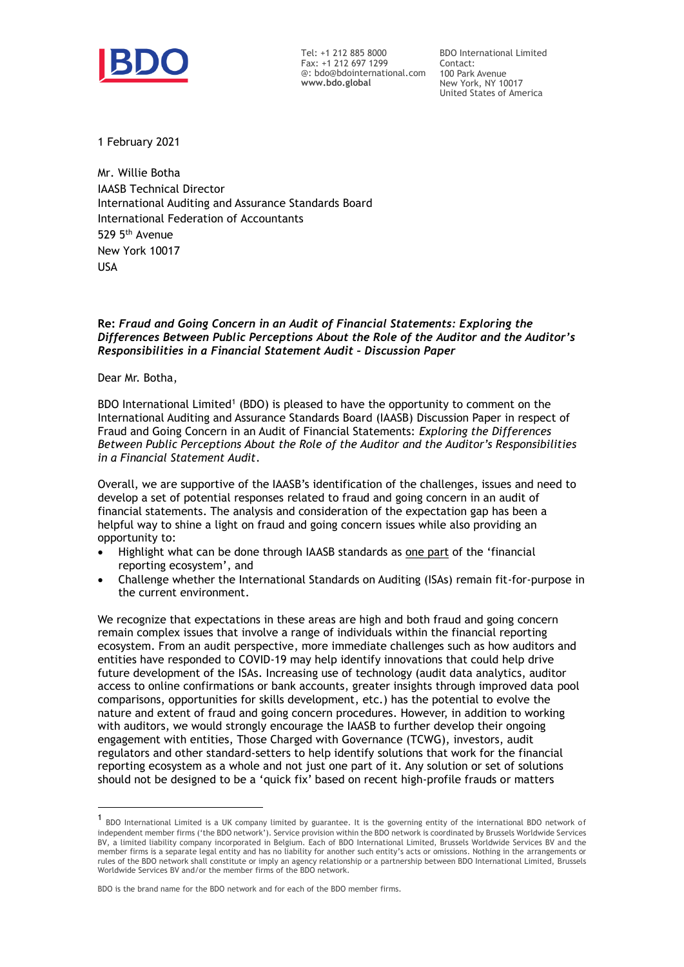

Tel: +1 212 885 8000 Fax: +1 212 697 1299 @: bdo@bdointernational.com **www.bdo.global**

BDO International Limited Contact: 100 Park Avenue New York, NY 10017 United States of America

1 February 2021

Mr. Willie Botha IAASB Technical Director International Auditing and Assurance Standards Board International Federation of Accountants 529 5th Avenue New York 10017 USA

## **Re:** *Fraud and Going Concern in an Audit of Financial Statements: Exploring the Differences Between Public Perceptions About the Role of the Auditor and the Auditor's Responsibilities in a Financial Statement Audit – Discussion Paper*

Dear Mr. Botha,

BDO International Limited<sup>1</sup> (BDO) is pleased to have the opportunity to comment on the International Auditing and Assurance Standards Board (IAASB) Discussion Paper in respect of Fraud and Going Concern in an Audit of Financial Statements: *Exploring the Differences Between Public Perceptions About the Role of the Auditor and the Auditor's Responsibilities in a Financial Statement Audit*.

Overall, we are supportive of the IAASB's identification of the challenges, issues and need to develop a set of potential responses related to fraud and going concern in an audit of financial statements. The analysis and consideration of the expectation gap has been a helpful way to shine a light on fraud and going concern issues while also providing an opportunity to:

- Highlight what can be done through IAASB standards as one part of the 'financial reporting ecosystem', and
- Challenge whether the International Standards on Auditing (ISAs) remain fit-for-purpose in the current environment.

We recognize that expectations in these areas are high and both fraud and going concern remain complex issues that involve a range of individuals within the financial reporting ecosystem. From an audit perspective, more immediate challenges such as how auditors and entities have responded to COVID-19 may help identify innovations that could help drive future development of the ISAs. Increasing use of technology (audit data analytics, auditor access to online confirmations or bank accounts, greater insights through improved data pool comparisons, opportunities for skills development, etc.) has the potential to evolve the nature and extent of fraud and going concern procedures. However, in addition to working with auditors, we would strongly encourage the IAASB to further develop their ongoing engagement with entities, Those Charged with Governance (TCWG), investors, audit regulators and other standard-setters to help identify solutions that work for the financial reporting ecosystem as a whole and not just one part of it. Any solution or set of solutions should not be designed to be a 'quick fix' based on recent high-profile frauds or matters

<sup>1</sup> BDO International Limited is a UK company limited by guarantee. It is the governing entity of the international BDO network of independent member firms ('the BDO network'). Service provision within the BDO network is coordinated by Brussels Worldwide Services BV, a limited liability company incorporated in Belgium. Each of BDO International Limited, Brussels Worldwide Services BV and the member firms is a separate legal entity and has no liability for another such entity's acts or omissions. Nothing in the arrangements or rules of the BDO network shall constitute or imply an agency relationship or a partnership between BDO International Limited, Brussels Worldwide Services BV and/or the member firms of the BDO network.

BDO is the brand name for the BDO network and for each of the BDO member firms.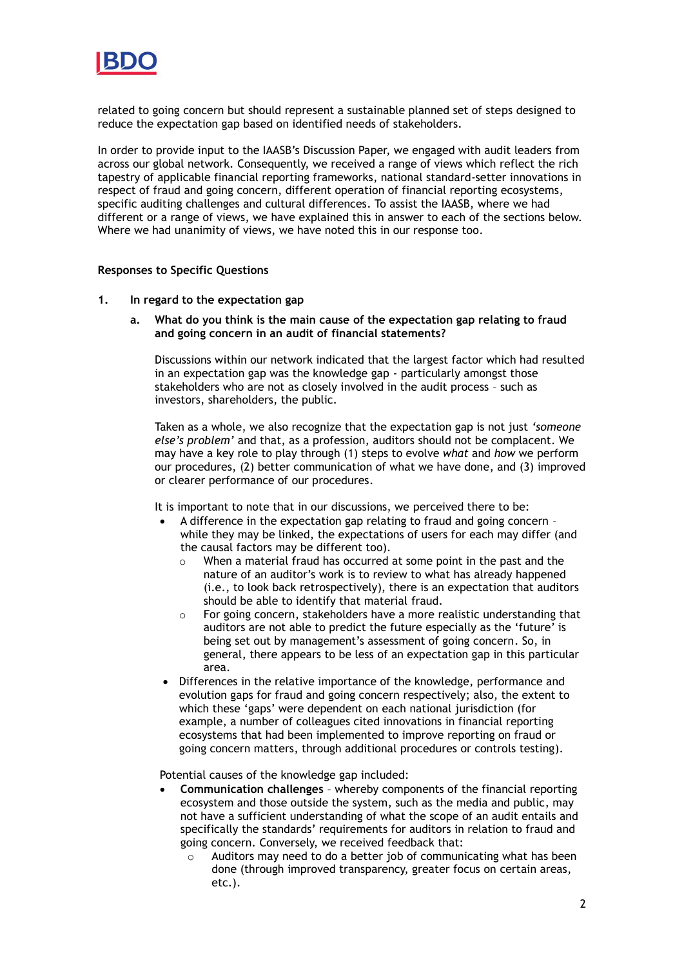

related to going concern but should represent a sustainable planned set of steps designed to reduce the expectation gap based on identified needs of stakeholders.

In order to provide input to the IAASB's Discussion Paper, we engaged with audit leaders from across our global network. Consequently, we received a range of views which reflect the rich tapestry of applicable financial reporting frameworks, national standard-setter innovations in respect of fraud and going concern, different operation of financial reporting ecosystems, specific auditing challenges and cultural differences. To assist the IAASB, where we had different or a range of views, we have explained this in answer to each of the sections below. Where we had unanimity of views, we have noted this in our response too.

### **Responses to Specific Questions**

### **1. In regard to the expectation gap**

**a. What do you think is the main cause of the expectation gap relating to fraud and going concern in an audit of financial statements?** 

Discussions within our network indicated that the largest factor which had resulted in an expectation gap was the knowledge gap - particularly amongst those stakeholders who are not as closely involved in the audit process – such as investors, shareholders, the public.

Taken as a whole, we also recognize that the expectation gap is not just *'someone else's problem'* and that, as a profession, auditors should not be complacent. We may have a key role to play through (1) steps to evolve *what* and *how* we perform our procedures, (2) better communication of what we have done, and (3) improved or clearer performance of our procedures.

It is important to note that in our discussions, we perceived there to be:

- A difference in the expectation gap relating to fraud and going concern while they may be linked, the expectations of users for each may differ (and the causal factors may be different too).
	- o When a material fraud has occurred at some point in the past and the nature of an auditor's work is to review to what has already happened (i.e., to look back retrospectively), there is an expectation that auditors should be able to identify that material fraud.
	- $\circ$  For going concern, stakeholders have a more realistic understanding that auditors are not able to predict the future especially as the 'future' is being set out by management's assessment of going concern. So, in general, there appears to be less of an expectation gap in this particular area.
- Differences in the relative importance of the knowledge, performance and evolution gaps for fraud and going concern respectively; also, the extent to which these 'gaps' were dependent on each national jurisdiction (for example, a number of colleagues cited innovations in financial reporting ecosystems that had been implemented to improve reporting on fraud or going concern matters, through additional procedures or controls testing).

Potential causes of the knowledge gap included:

- **Communication challenges** whereby components of the financial reporting ecosystem and those outside the system, such as the media and public, may not have a sufficient understanding of what the scope of an audit entails and specifically the standards' requirements for auditors in relation to fraud and going concern. Conversely, we received feedback that:
	- Auditors may need to do a better job of communicating what has been done (through improved transparency, greater focus on certain areas, etc.).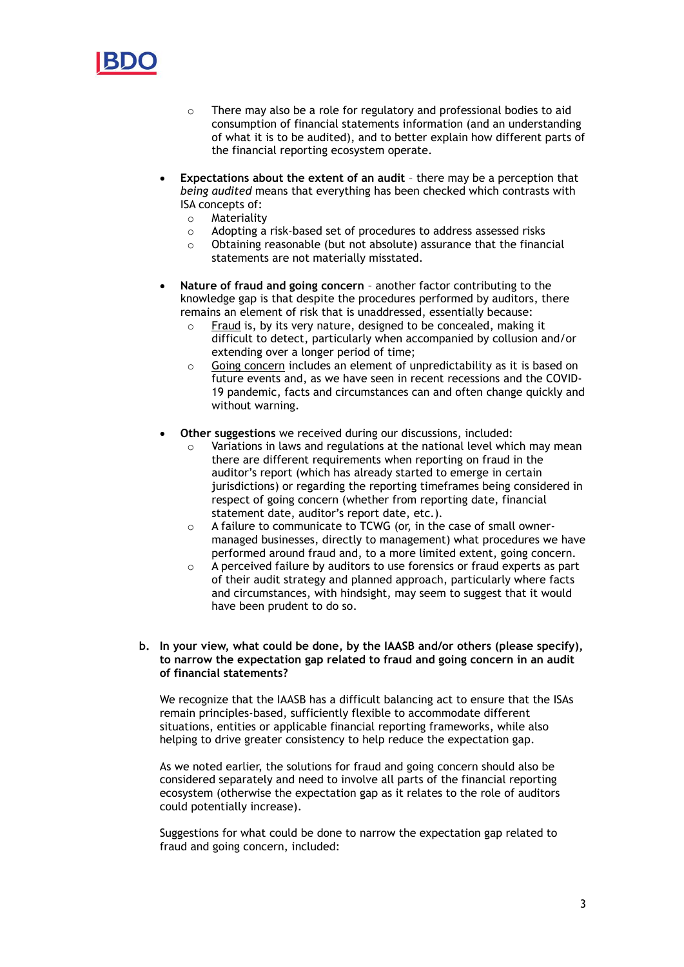

- o There may also be a role for regulatory and professional bodies to aid consumption of financial statements information (and an understanding of what it is to be audited), and to better explain how different parts of the financial reporting ecosystem operate.
- **Expectations about the extent of an audit** there may be a perception that *being audited* means that everything has been checked which contrasts with ISA concepts of:
	- o Materiality
	- o Adopting a risk-based set of procedures to address assessed risks
	- o Obtaining reasonable (but not absolute) assurance that the financial statements are not materially misstated.
- **Nature of fraud and going concern** another factor contributing to the knowledge gap is that despite the procedures performed by auditors, there remains an element of risk that is unaddressed, essentially because:
	- o Fraud is, by its very nature, designed to be concealed, making it difficult to detect, particularly when accompanied by collusion and/or extending over a longer period of time;
	- o Going concern includes an element of unpredictability as it is based on future events and, as we have seen in recent recessions and the COVID-19 pandemic, facts and circumstances can and often change quickly and without warning.
- **Other suggestions** we received during our discussions, included:
	- Variations in laws and regulations at the national level which may mean there are different requirements when reporting on fraud in the auditor's report (which has already started to emerge in certain jurisdictions) or regarding the reporting timeframes being considered in respect of going concern (whether from reporting date, financial statement date, auditor's report date, etc.).
	- o A failure to communicate to TCWG (or, in the case of small ownermanaged businesses, directly to management) what procedures we have performed around fraud and, to a more limited extent, going concern.
	- $\circ$  A perceived failure by auditors to use forensics or fraud experts as part of their audit strategy and planned approach, particularly where facts and circumstances, with hindsight, may seem to suggest that it would have been prudent to do so.

# **b. In your view, what could be done, by the IAASB and/or others (please specify), to narrow the expectation gap related to fraud and going concern in an audit of financial statements?**

We recognize that the IAASB has a difficult balancing act to ensure that the ISAs remain principles-based, sufficiently flexible to accommodate different situations, entities or applicable financial reporting frameworks, while also helping to drive greater consistency to help reduce the expectation gap.

As we noted earlier, the solutions for fraud and going concern should also be considered separately and need to involve all parts of the financial reporting ecosystem (otherwise the expectation gap as it relates to the role of auditors could potentially increase).

Suggestions for what could be done to narrow the expectation gap related to fraud and going concern, included: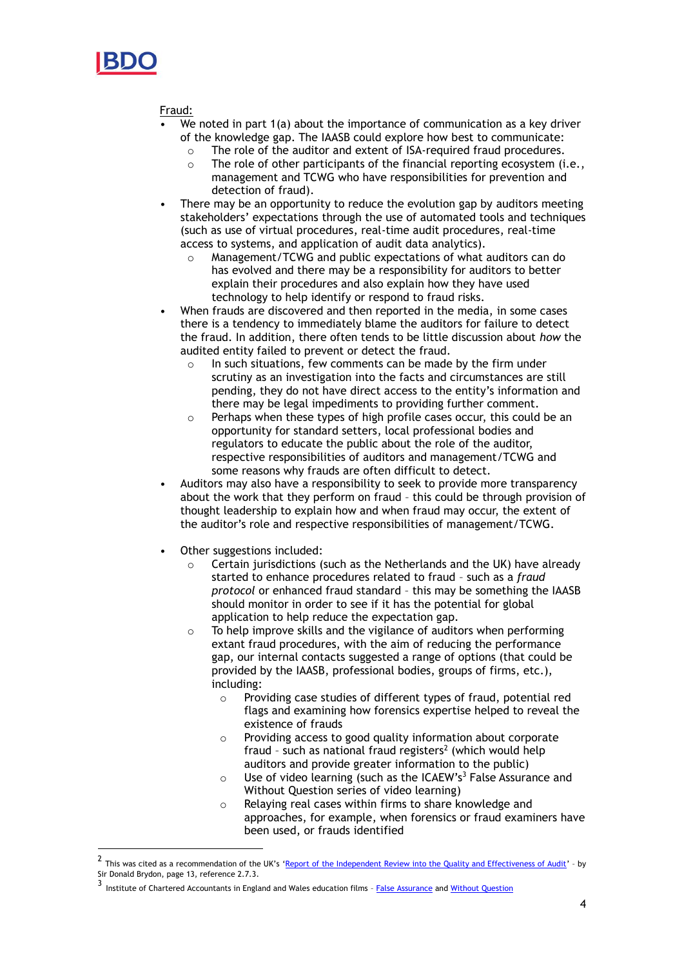

Fraud:

- We noted in part 1(a) about the importance of communication as a key driver of the knowledge gap. The IAASB could explore how best to communicate:
	- $\circ$  The role of the auditor and extent of ISA-required fraud procedures.
	- $\circ$  The role of other participants of the financial reporting ecosystem (i.e., management and TCWG who have responsibilities for prevention and detection of fraud).
- There may be an opportunity to reduce the evolution gap by auditors meeting stakeholders' expectations through the use of automated tools and techniques (such as use of virtual procedures, real-time audit procedures, real-time access to systems, and application of audit data analytics).
	- o Management/TCWG and public expectations of what auditors can do has evolved and there may be a responsibility for auditors to better explain their procedures and also explain how they have used technology to help identify or respond to fraud risks.
- When frauds are discovered and then reported in the media, in some cases there is a tendency to immediately blame the auditors for failure to detect the fraud. In addition, there often tends to be little discussion about *how* the audited entity failed to prevent or detect the fraud.
	- $\circ$  In such situations, few comments can be made by the firm under scrutiny as an investigation into the facts and circumstances are still pending, they do not have direct access to the entity's information and there may be legal impediments to providing further comment.
	- o Perhaps when these types of high profile cases occur, this could be an opportunity for standard setters, local professional bodies and regulators to educate the public about the role of the auditor, respective responsibilities of auditors and management/TCWG and some reasons why frauds are often difficult to detect.
- Auditors may also have a responsibility to seek to provide more transparency about the work that they perform on fraud – this could be through provision of thought leadership to explain how and when fraud may occur, the extent of the auditor's role and respective responsibilities of management/TCWG.
- Other suggestions included:
	- $\circ$  Certain jurisdictions (such as the Netherlands and the UK) have already started to enhance procedures related to fraud – such as a *fraud protocol* or enhanced fraud standard – this may be something the IAASB should monitor in order to see if it has the potential for global application to help reduce the expectation gap.
	- o To help improve skills and the vigilance of auditors when performing extant fraud procedures, with the aim of reducing the performance gap, our internal contacts suggested a range of options (that could be provided by the IAASB, professional bodies, groups of firms, etc.), including:
		- o Providing case studies of different types of fraud, potential red flags and examining how forensics expertise helped to reveal the existence of frauds
		- o Providing access to good quality information about corporate fraud – such as national fraud registers 2 (which would help auditors and provide greater information to the public)
		- $\circ$  Use of video learning (such as the ICAEW's<sup>3</sup> False Assurance and Without Question series of video learning)
		- o Relaying real cases within firms to share knowledge and approaches, for example, when forensics or fraud examiners have been used, or frauds identified

<sup>2</sup> This was cited as a recommendation of the UK's '[Report of the Independent Review into the Quality and Effectiveness of Audit](https://assets.publishing.service.gov.uk/government/uploads/system/uploads/attachment_data/file/852960/brydon-review-final-report.pdf)' – by Sir Donald Brydon, page 13, reference 2.7.3.

<sup>3&</sup>lt;br>Institute of Chartered Accountants in England and Wales education films - <u>[False Assurance](https://www.icaew.com/learning-and-development/icaew-educational-films/false-assurance)</u> and <u>Without Question</u>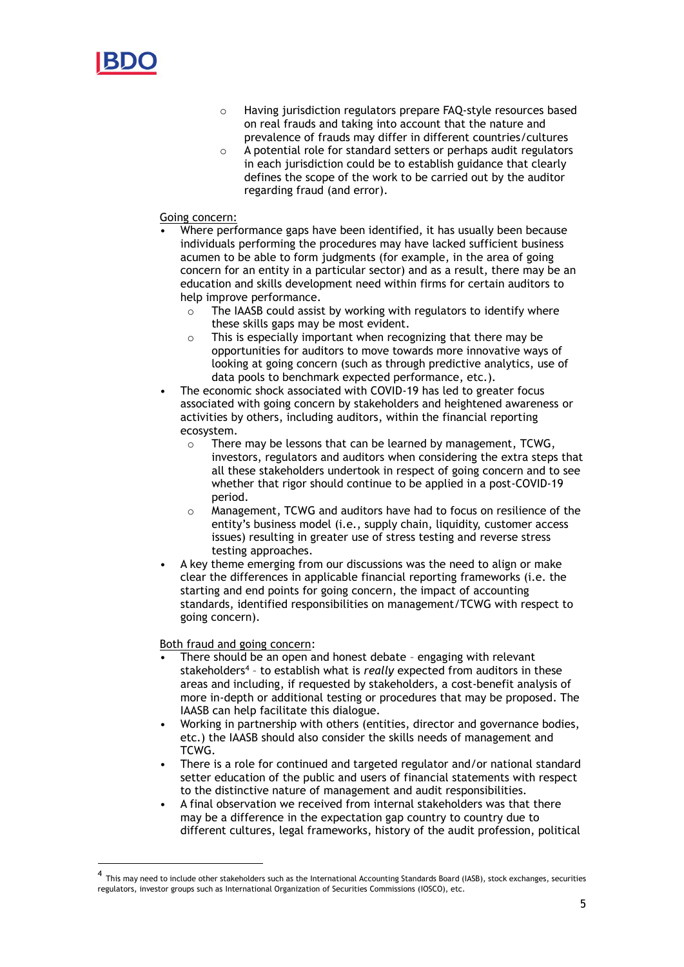

- o Having jurisdiction regulators prepare FAQ-style resources based on real frauds and taking into account that the nature and prevalence of frauds may differ in different countries/cultures
- o A potential role for standard setters or perhaps audit regulators in each jurisdiction could be to establish guidance that clearly defines the scope of the work to be carried out by the auditor regarding fraud (and error).

# Going concern:

- Where performance gaps have been identified, it has usually been because individuals performing the procedures may have lacked sufficient business acumen to be able to form judgments (for example, in the area of going concern for an entity in a particular sector) and as a result, there may be an education and skills development need within firms for certain auditors to help improve performance.
	- $\circ$  The IAASB could assist by working with regulators to identify where these skills gaps may be most evident.
	- o This is especially important when recognizing that there may be opportunities for auditors to move towards more innovative ways of looking at going concern (such as through predictive analytics, use of data pools to benchmark expected performance, etc.).
- The economic shock associated with COVID-19 has led to greater focus associated with going concern by stakeholders and heightened awareness or activities by others, including auditors, within the financial reporting ecosystem.
	- o There may be lessons that can be learned by management, TCWG, investors, regulators and auditors when considering the extra steps that all these stakeholders undertook in respect of going concern and to see whether that rigor should continue to be applied in a post-COVID-19 period.
	- Management, TCWG and auditors have had to focus on resilience of the entity's business model (i.e., supply chain, liquidity, customer access issues) resulting in greater use of stress testing and reverse stress testing approaches.
- A key theme emerging from our discussions was the need to align or make clear the differences in applicable financial reporting frameworks (i.e. the starting and end points for going concern, the impact of accounting standards, identified responsibilities on management/TCWG with respect to going concern).

### Both fraud and going concern:

- There should be an open and honest debate engaging with relevant stakeholders<sup>4</sup> - to establish what is *really* expected from auditors in these areas and including, if requested by stakeholders, a cost-benefit analysis of more in-depth or additional testing or procedures that may be proposed. The IAASB can help facilitate this dialogue.
- Working in partnership with others (entities, director and governance bodies, etc.) the IAASB should also consider the skills needs of management and TCWG.
- There is a role for continued and targeted regulator and/or national standard setter education of the public and users of financial statements with respect to the distinctive nature of management and audit responsibilities.
- A final observation we received from internal stakeholders was that there may be a difference in the expectation gap country to country due to different cultures, legal frameworks, history of the audit profession, political

<sup>4</sup> This may need to include other stakeholders such as the International Accounting Standards Board (IASB), stock exchanges, securities regulators, investor groups such as International Organization of Securities Commissions (IOSCO), etc.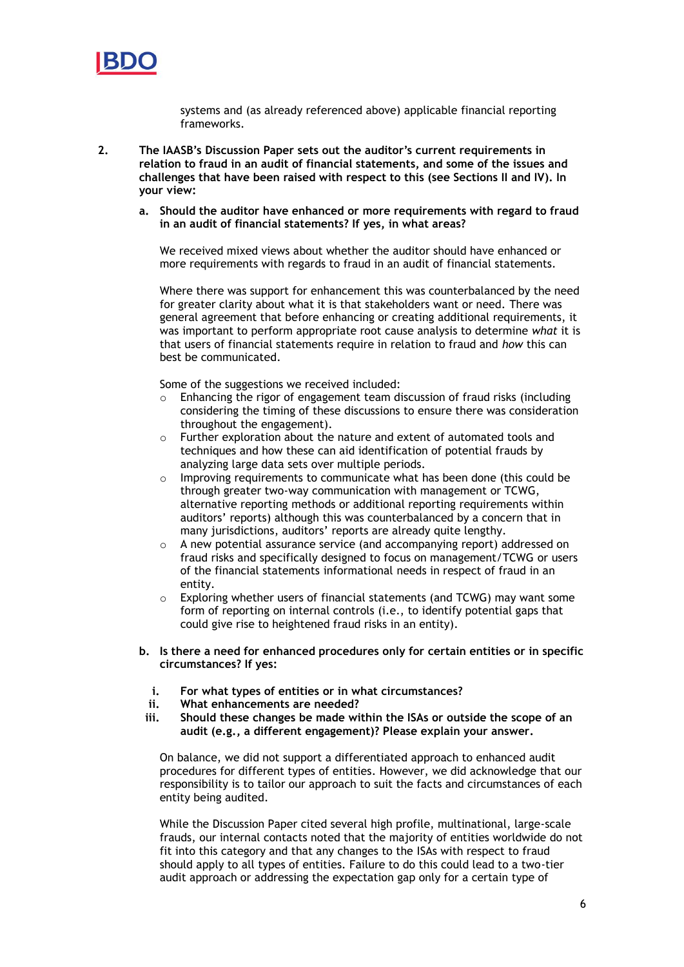

systems and (as already referenced above) applicable financial reporting frameworks.

- **2. The IAASB's Discussion Paper sets out the auditor's current requirements in relation to fraud in an audit of financial statements, and some of the issues and challenges that have been raised with respect to this (see Sections II and IV). In your view:**
	- **a. Should the auditor have enhanced or more requirements with regard to fraud in an audit of financial statements? If yes, in what areas?**

We received mixed views about whether the auditor should have enhanced or more requirements with regards to fraud in an audit of financial statements.

Where there was support for enhancement this was counterbalanced by the need for greater clarity about what it is that stakeholders want or need. There was general agreement that before enhancing or creating additional requirements, it was important to perform appropriate root cause analysis to determine *what* it is that users of financial statements require in relation to fraud and *how* this can best be communicated.

Some of the suggestions we received included:

- $\circ$  Enhancing the rigor of engagement team discussion of fraud risks (including considering the timing of these discussions to ensure there was consideration throughout the engagement).
- o Further exploration about the nature and extent of automated tools and techniques and how these can aid identification of potential frauds by analyzing large data sets over multiple periods.
- $\circ$  Improving requirements to communicate what has been done (this could be through greater two-way communication with management or TCWG, alternative reporting methods or additional reporting requirements within auditors' reports) although this was counterbalanced by a concern that in many jurisdictions, auditors' reports are already quite lengthy.
- o A new potential assurance service (and accompanying report) addressed on fraud risks and specifically designed to focus on management/TCWG or users of the financial statements informational needs in respect of fraud in an entity.
- o Exploring whether users of financial statements (and TCWG) may want some form of reporting on internal controls (i.e., to identify potential gaps that could give rise to heightened fraud risks in an entity).
- **b. Is there a need for enhanced procedures only for certain entities or in specific circumstances? If yes:**
	- **i. For what types of entities or in what circumstances?**
	- **ii. What enhancements are needed?**
- **iii. Should these changes be made within the ISAs or outside the scope of an audit (e.g., a different engagement)? Please explain your answer.**

On balance, we did not support a differentiated approach to enhanced audit procedures for different types of entities. However, we did acknowledge that our responsibility is to tailor our approach to suit the facts and circumstances of each entity being audited.

While the Discussion Paper cited several high profile, multinational, large-scale frauds, our internal contacts noted that the majority of entities worldwide do not fit into this category and that any changes to the ISAs with respect to fraud should apply to all types of entities. Failure to do this could lead to a two-tier audit approach or addressing the expectation gap only for a certain type of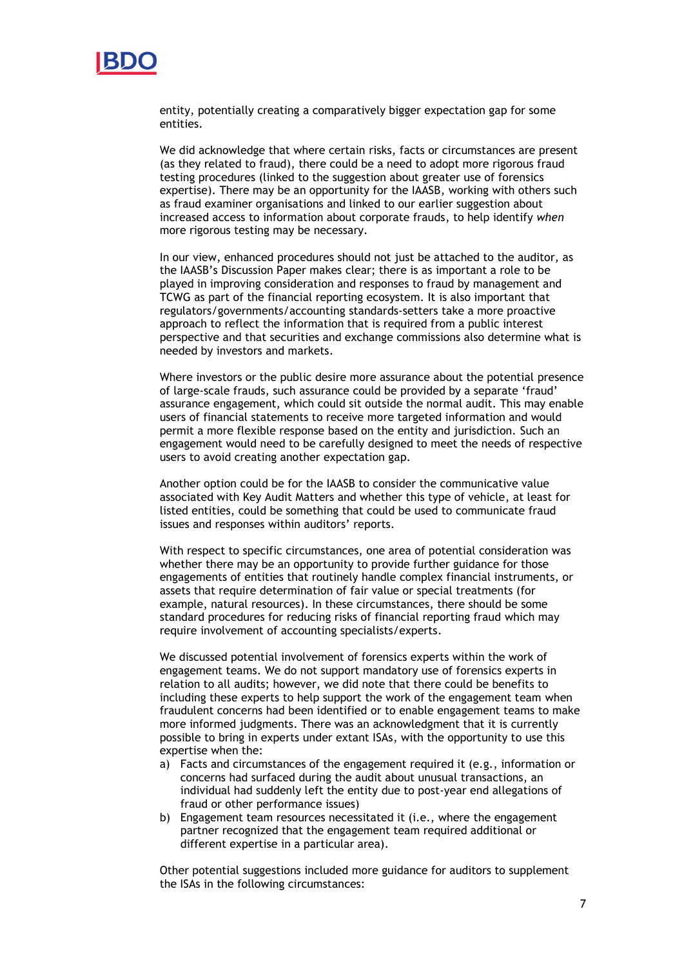

entity, potentially creating a comparatively bigger expectation gap for some entities.

We did acknowledge that where certain risks, facts or circumstances are present (as they related to fraud), there could be a need to adopt more rigorous fraud testing procedures (linked to the suggestion about greater use of forensics expertise). There may be an opportunity for the IAASB, working with others such as fraud examiner organisations and linked to our earlier suggestion about increased access to information about corporate frauds, to help identify *when* more rigorous testing may be necessary.

In our view, enhanced procedures should not just be attached to the auditor, as the IAASB's Discussion Paper makes clear; there is as important a role to be played in improving consideration and responses to fraud by management and TCWG as part of the financial reporting ecosystem. It is also important that regulators/governments/accounting standards-setters take a more proactive approach to reflect the information that is required from a public interest perspective and that securities and exchange commissions also determine what is needed by investors and markets.

Where investors or the public desire more assurance about the potential presence of large-scale frauds, such assurance could be provided by a separate 'fraud' assurance engagement, which could sit outside the normal audit. This may enable users of financial statements to receive more targeted information and would permit a more flexible response based on the entity and jurisdiction. Such an engagement would need to be carefully designed to meet the needs of respective users to avoid creating another expectation gap.

Another option could be for the IAASB to consider the communicative value associated with Key Audit Matters and whether this type of vehicle, at least for listed entities, could be something that could be used to communicate fraud issues and responses within auditors' reports.

With respect to specific circumstances, one area of potential consideration was whether there may be an opportunity to provide further guidance for those engagements of entities that routinely handle complex financial instruments, or assets that require determination of fair value or special treatments (for example, natural resources). In these circumstances, there should be some standard procedures for reducing risks of financial reporting fraud which may require involvement of accounting specialists/experts.

We discussed potential involvement of forensics experts within the work of engagement teams. We do not support mandatory use of forensics experts in relation to all audits; however, we did note that there could be benefits to including these experts to help support the work of the engagement team when fraudulent concerns had been identified or to enable engagement teams to make more informed judgments. There was an acknowledgment that it is currently possible to bring in experts under extant ISAs, with the opportunity to use this expertise when the:

- a) Facts and circumstances of the engagement required it (e.g., information or concerns had surfaced during the audit about unusual transactions, an individual had suddenly left the entity due to post-year end allegations of fraud or other performance issues)
- b) Engagement team resources necessitated it (i.e., where the engagement partner recognized that the engagement team required additional or different expertise in a particular area).

Other potential suggestions included more guidance for auditors to supplement the ISAs in the following circumstances: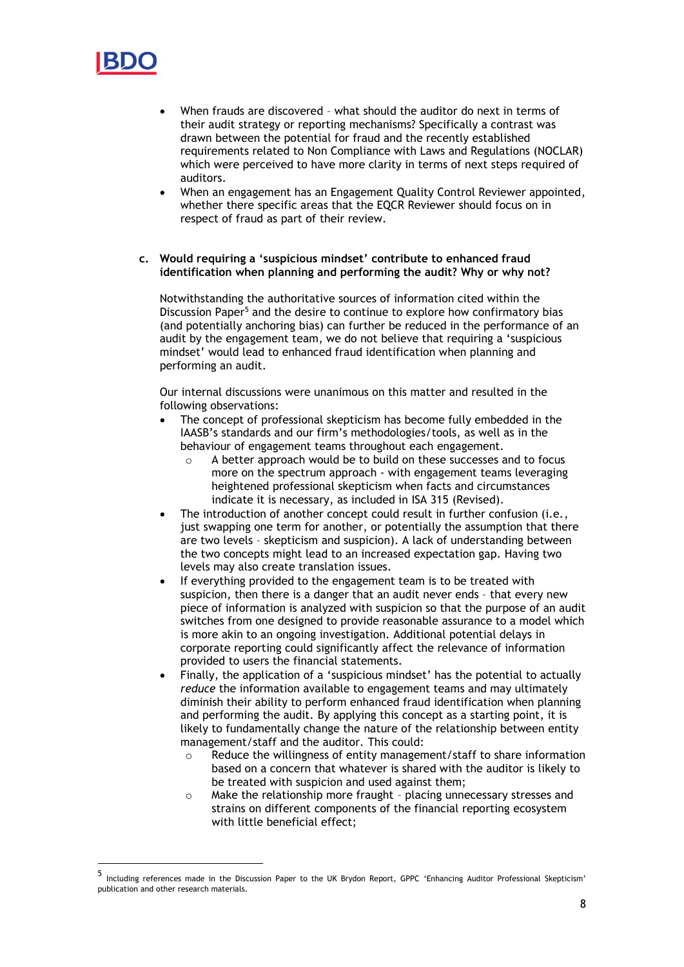

- When frauds are discovered what should the auditor do next in terms of their audit strategy or reporting mechanisms? Specifically a contrast was drawn between the potential for fraud and the recently established requirements related to Non Compliance with Laws and Regulations (NOCLAR) which were perceived to have more clarity in terms of next steps required of auditors.
- When an engagement has an Engagement Quality Control Reviewer appointed, whether there specific areas that the EQCR Reviewer should focus on in respect of fraud as part of their review.
- **c. Would requiring a 'suspicious mindset' contribute to enhanced fraud identification when planning and performing the audit? Why or why not?**

Notwithstanding the authoritative sources of information cited within the Discussion Paper<sup>5</sup> and the desire to continue to explore how confirmatory bias (and potentially anchoring bias) can further be reduced in the performance of an audit by the engagement team, we do not believe that requiring a 'suspicious mindset' would lead to enhanced fraud identification when planning and performing an audit.

Our internal discussions were unanimous on this matter and resulted in the following observations:

- The concept of professional skepticism has become fully embedded in the IAASB's standards and our firm's methodologies/tools, as well as in the behaviour of engagement teams throughout each engagement.
	- o A better approach would be to build on these successes and to focus more on the spectrum approach - with engagement teams leveraging heightened professional skepticism when facts and circumstances indicate it is necessary, as included in ISA 315 (Revised).
- The introduction of another concept could result in further confusion (i.e., just swapping one term for another, or potentially the assumption that there are two levels – skepticism and suspicion). A lack of understanding between the two concepts might lead to an increased expectation gap. Having two levels may also create translation issues.
- If everything provided to the engagement team is to be treated with suspicion, then there is a danger that an audit never ends – that every new piece of information is analyzed with suspicion so that the purpose of an audit switches from one designed to provide reasonable assurance to a model which is more akin to an ongoing investigation. Additional potential delays in corporate reporting could significantly affect the relevance of information provided to users the financial statements.
- Finally, the application of a 'suspicious mindset' has the potential to actually *reduce* the information available to engagement teams and may ultimately diminish their ability to perform enhanced fraud identification when planning and performing the audit. By applying this concept as a starting point, it is likely to fundamentally change the nature of the relationship between entity management/staff and the auditor. This could:
	- $\circ$  Reduce the willingness of entity management/staff to share information based on a concern that whatever is shared with the auditor is likely to be treated with suspicion and used against them;
	- o Make the relationship more fraught placing unnecessary stresses and strains on different components of the financial reporting ecosystem with little beneficial effect;

<sup>5</sup> Including references made in the Discussion Paper to the UK Brydon Report, GPPC 'Enhancing Auditor Professional Skepticism' publication and other research materials.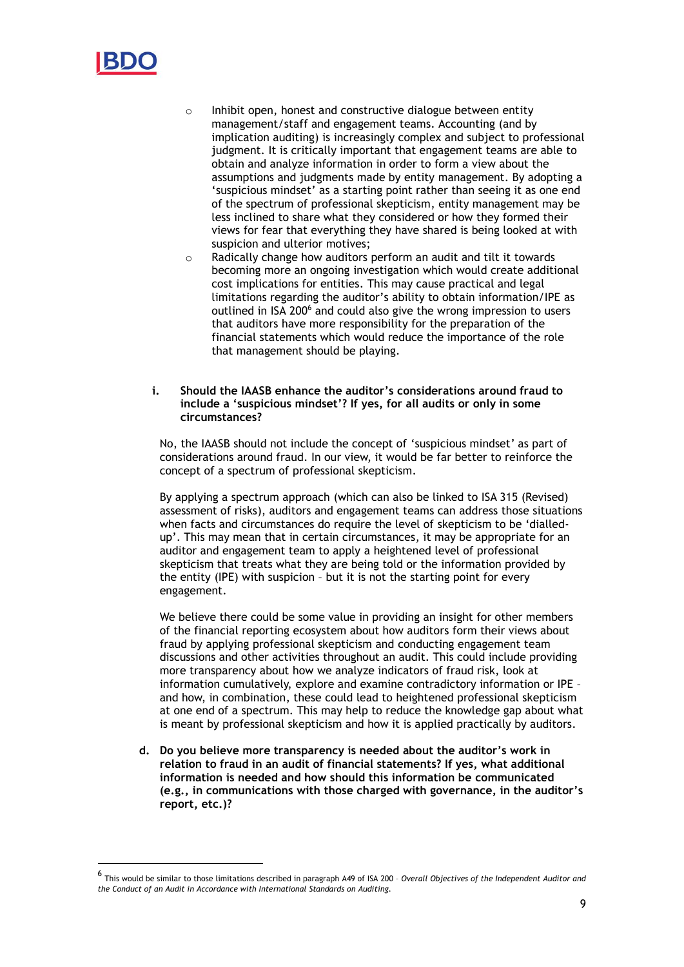

- o Inhibit open, honest and constructive dialogue between entity management/staff and engagement teams. Accounting (and by implication auditing) is increasingly complex and subject to professional judgment. It is critically important that engagement teams are able to obtain and analyze information in order to form a view about the assumptions and judgments made by entity management. By adopting a 'suspicious mindset' as a starting point rather than seeing it as one end of the spectrum of professional skepticism, entity management may be less inclined to share what they considered or how they formed their views for fear that everything they have shared is being looked at with suspicion and ulterior motives;
- o Radically change how auditors perform an audit and tilt it towards becoming more an ongoing investigation which would create additional cost implications for entities. This may cause practical and legal limitations regarding the auditor's ability to obtain information/IPE as outlined in ISA 200<sup>6</sup> and could also give the wrong impression to users that auditors have more responsibility for the preparation of the financial statements which would reduce the importance of the role that management should be playing.
- **i. Should the IAASB enhance the auditor's considerations around fraud to include a 'suspicious mindset'? If yes, for all audits or only in some circumstances?**

No, the IAASB should not include the concept of 'suspicious mindset' as part of considerations around fraud. In our view, it would be far better to reinforce the concept of a spectrum of professional skepticism.

By applying a spectrum approach (which can also be linked to ISA 315 (Revised) assessment of risks), auditors and engagement teams can address those situations when facts and circumstances do require the level of skepticism to be 'dialledup'. This may mean that in certain circumstances, it may be appropriate for an auditor and engagement team to apply a heightened level of professional skepticism that treats what they are being told or the information provided by the entity (IPE) with suspicion – but it is not the starting point for every engagement.

We believe there could be some value in providing an insight for other members of the financial reporting ecosystem about how auditors form their views about fraud by applying professional skepticism and conducting engagement team discussions and other activities throughout an audit. This could include providing more transparency about how we analyze indicators of fraud risk, look at information cumulatively, explore and examine contradictory information or IPE – and how, in combination, these could lead to heightened professional skepticism at one end of a spectrum. This may help to reduce the knowledge gap about what is meant by professional skepticism and how it is applied practically by auditors.

**d. Do you believe more transparency is needed about the auditor's work in relation to fraud in an audit of financial statements? If yes, what additional information is needed and how should this information be communicated (e.g., in communications with those charged with governance, in the auditor's report, etc.)?**

<sup>6</sup> This would be similar to those limitations described in paragraph A49 of ISA 200 – *Overall Objectives of the Independent Auditor and the Conduct of an Audit in Accordance with International Standards on Auditing.*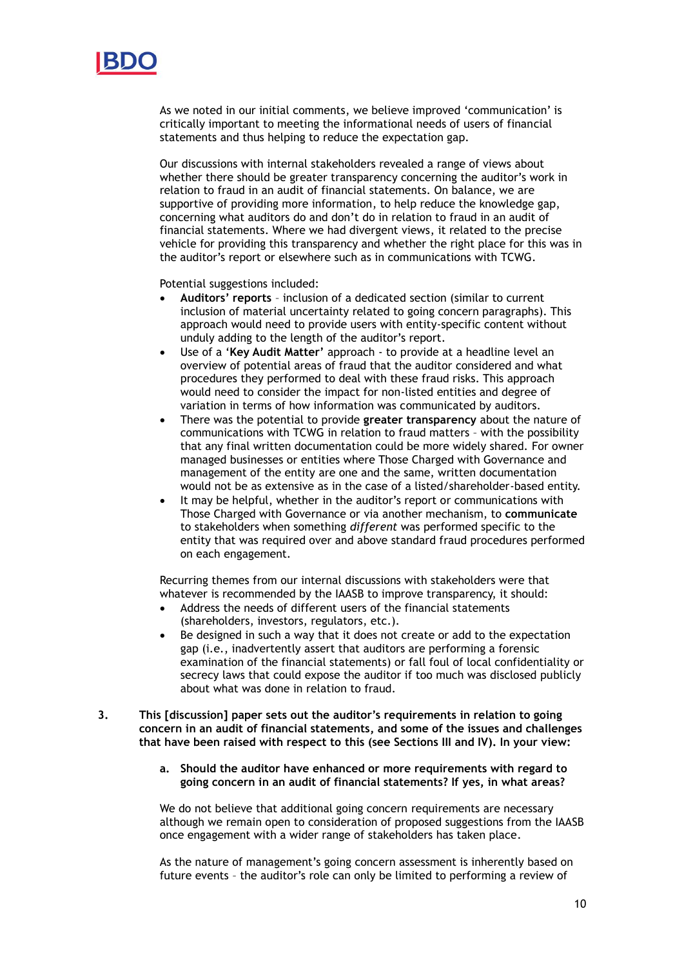

As we noted in our initial comments, we believe improved 'communication' is critically important to meeting the informational needs of users of financial statements and thus helping to reduce the expectation gap.

Our discussions with internal stakeholders revealed a range of views about whether there should be greater transparency concerning the auditor's work in relation to fraud in an audit of financial statements. On balance, we are supportive of providing more information, to help reduce the knowledge gap, concerning what auditors do and don't do in relation to fraud in an audit of financial statements. Where we had divergent views, it related to the precise vehicle for providing this transparency and whether the right place for this was in the auditor's report or elsewhere such as in communications with TCWG.

Potential suggestions included:

- **Auditors' reports** inclusion of a dedicated section (similar to current inclusion of material uncertainty related to going concern paragraphs). This approach would need to provide users with entity-specific content without unduly adding to the length of the auditor's report.
- Use of a '**Key Audit Matter'** approach to provide at a headline level an overview of potential areas of fraud that the auditor considered and what procedures they performed to deal with these fraud risks. This approach would need to consider the impact for non-listed entities and degree of variation in terms of how information was communicated by auditors.
- There was the potential to provide **greater transparency** about the nature of communications with TCWG in relation to fraud matters – with the possibility that any final written documentation could be more widely shared. For owner managed businesses or entities where Those Charged with Governance and management of the entity are one and the same, written documentation would not be as extensive as in the case of a listed/shareholder-based entity.
- It may be helpful, whether in the auditor's report or communications with Those Charged with Governance or via another mechanism, to **communicate** to stakeholders when something *different* was performed specific to the entity that was required over and above standard fraud procedures performed on each engagement.

Recurring themes from our internal discussions with stakeholders were that whatever is recommended by the IAASB to improve transparency, it should:

- Address the needs of different users of the financial statements (shareholders, investors, regulators, etc.).
- Be designed in such a way that it does not create or add to the expectation gap (i.e., inadvertently assert that auditors are performing a forensic examination of the financial statements) or fall foul of local confidentiality or secrecy laws that could expose the auditor if too much was disclosed publicly about what was done in relation to fraud.
- **3. This [discussion] paper sets out the auditor's requirements in relation to going concern in an audit of financial statements, and some of the issues and challenges that have been raised with respect to this (see Sections III and IV). In your view:**
	- **a. Should the auditor have enhanced or more requirements with regard to going concern in an audit of financial statements? If yes, in what areas?**

We do not believe that additional going concern requirements are necessary although we remain open to consideration of proposed suggestions from the IAASB once engagement with a wider range of stakeholders has taken place.

As the nature of management's going concern assessment is inherently based on future events – the auditor's role can only be limited to performing a review of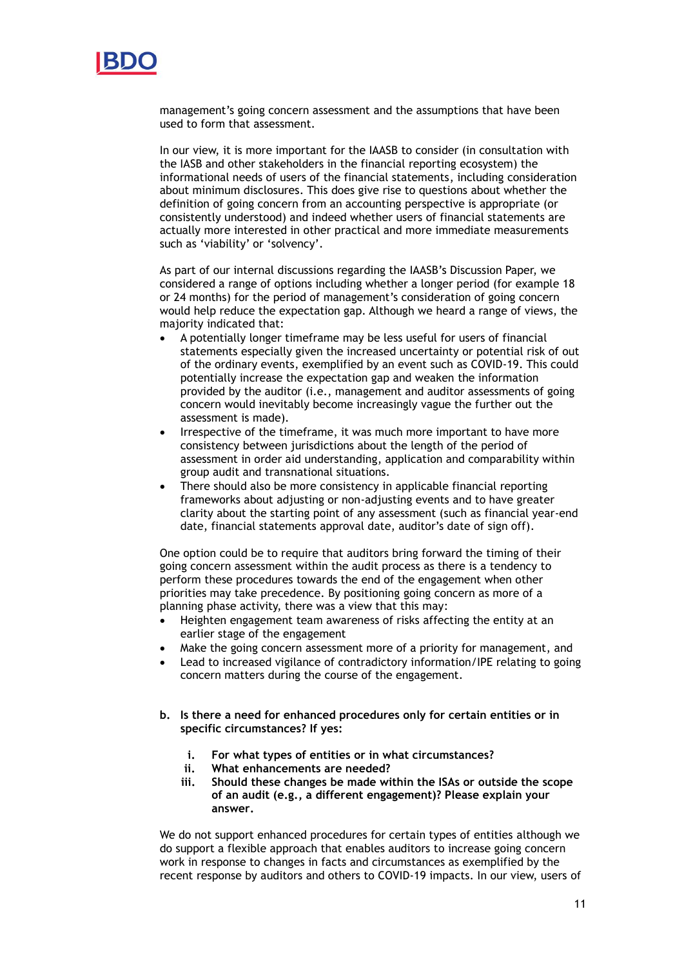

management's going concern assessment and the assumptions that have been used to form that assessment.

In our view, it is more important for the IAASB to consider (in consultation with the IASB and other stakeholders in the financial reporting ecosystem) the informational needs of users of the financial statements, including consideration about minimum disclosures. This does give rise to questions about whether the definition of going concern from an accounting perspective is appropriate (or consistently understood) and indeed whether users of financial statements are actually more interested in other practical and more immediate measurements such as 'viability' or 'solvency'.

As part of our internal discussions regarding the IAASB's Discussion Paper, we considered a range of options including whether a longer period (for example 18 or 24 months) for the period of management's consideration of going concern would help reduce the expectation gap. Although we heard a range of views, the majority indicated that:

- A potentially longer timeframe may be less useful for users of financial statements especially given the increased uncertainty or potential risk of out of the ordinary events, exemplified by an event such as COVID-19. This could potentially increase the expectation gap and weaken the information provided by the auditor (i.e., management and auditor assessments of going concern would inevitably become increasingly vague the further out the assessment is made).
- Irrespective of the timeframe, it was much more important to have more consistency between jurisdictions about the length of the period of assessment in order aid understanding, application and comparability within group audit and transnational situations.
- There should also be more consistency in applicable financial reporting frameworks about adjusting or non-adjusting events and to have greater clarity about the starting point of any assessment (such as financial year-end date, financial statements approval date, auditor's date of sign off).

One option could be to require that auditors bring forward the timing of their going concern assessment within the audit process as there is a tendency to perform these procedures towards the end of the engagement when other priorities may take precedence. By positioning going concern as more of a planning phase activity, there was a view that this may:

- Heighten engagement team awareness of risks affecting the entity at an earlier stage of the engagement
- Make the going concern assessment more of a priority for management, and
- Lead to increased vigilance of contradictory information/IPE relating to going concern matters during the course of the engagement.
- **b. Is there a need for enhanced procedures only for certain entities or in specific circumstances? If yes:**
	- **i. For what types of entities or in what circumstances?**
	- **ii. What enhancements are needed?**
	- **iii. Should these changes be made within the ISAs or outside the scope of an audit (e.g., a different engagement)? Please explain your answer.**

We do not support enhanced procedures for certain types of entities although we do support a flexible approach that enables auditors to increase going concern work in response to changes in facts and circumstances as exemplified by the recent response by auditors and others to COVID-19 impacts. In our view, users of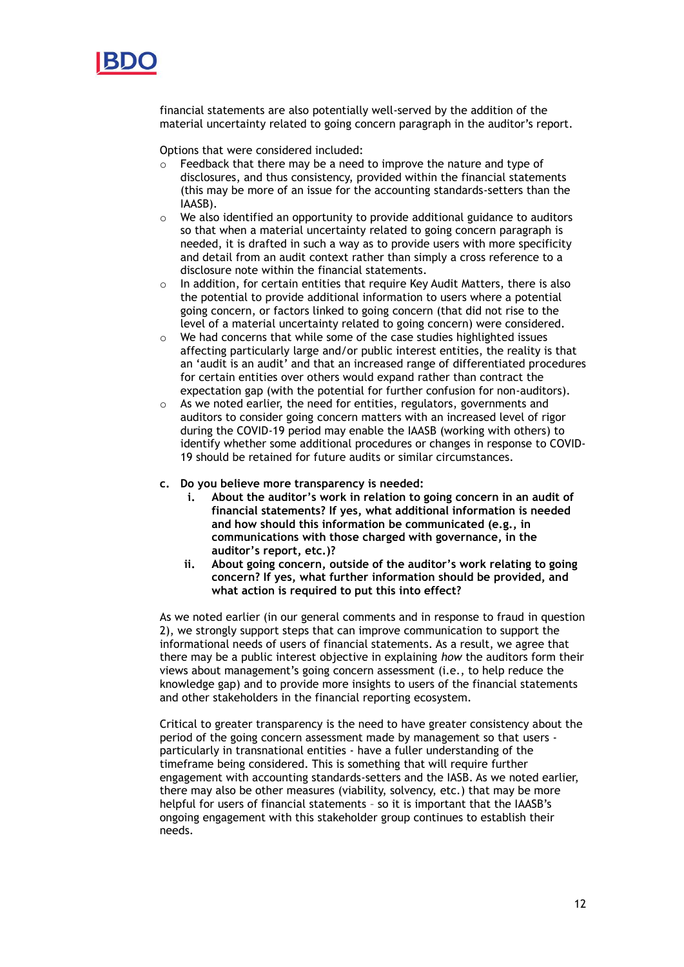

financial statements are also potentially well-served by the addition of the material uncertainty related to going concern paragraph in the auditor's report.

Options that were considered included:

- $\circ$  Feedback that there may be a need to improve the nature and type of disclosures, and thus consistency, provided within the financial statements (this may be more of an issue for the accounting standards-setters than the IAASB).
- o We also identified an opportunity to provide additional guidance to auditors so that when a material uncertainty related to going concern paragraph is needed, it is drafted in such a way as to provide users with more specificity and detail from an audit context rather than simply a cross reference to a disclosure note within the financial statements.
- o In addition, for certain entities that require Key Audit Matters, there is also the potential to provide additional information to users where a potential going concern, or factors linked to going concern (that did not rise to the level of a material uncertainty related to going concern) were considered.
- o We had concerns that while some of the case studies highlighted issues affecting particularly large and/or public interest entities, the reality is that an 'audit is an audit' and that an increased range of differentiated procedures for certain entities over others would expand rather than contract the expectation gap (with the potential for further confusion for non-auditors).
- o As we noted earlier, the need for entities, regulators, governments and auditors to consider going concern matters with an increased level of rigor during the COVID-19 period may enable the IAASB (working with others) to identify whether some additional procedures or changes in response to COVID-19 should be retained for future audits or similar circumstances.
- **c. Do you believe more transparency is needed:**
	- **i. About the auditor's work in relation to going concern in an audit of financial statements? If yes, what additional information is needed and how should this information be communicated (e.g., in communications with those charged with governance, in the auditor's report, etc.)?**
	- **ii. About going concern, outside of the auditor's work relating to going concern? If yes, what further information should be provided, and what action is required to put this into effect?**

As we noted earlier (in our general comments and in response to fraud in question 2), we strongly support steps that can improve communication to support the informational needs of users of financial statements. As a result, we agree that there may be a public interest objective in explaining *how* the auditors form their views about management's going concern assessment (i.e., to help reduce the knowledge gap) and to provide more insights to users of the financial statements and other stakeholders in the financial reporting ecosystem.

Critical to greater transparency is the need to have greater consistency about the period of the going concern assessment made by management so that users particularly in transnational entities - have a fuller understanding of the timeframe being considered. This is something that will require further engagement with accounting standards-setters and the IASB. As we noted earlier, there may also be other measures (viability, solvency, etc.) that may be more helpful for users of financial statements – so it is important that the IAASB's ongoing engagement with this stakeholder group continues to establish their needs.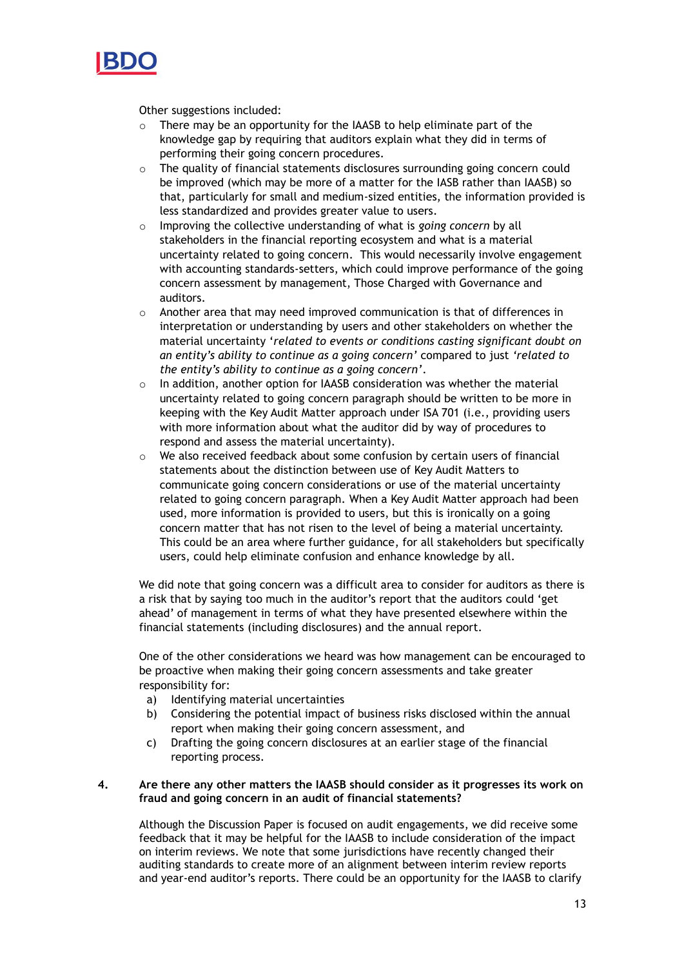

Other suggestions included:

- o There may be an opportunity for the IAASB to help eliminate part of the knowledge gap by requiring that auditors explain what they did in terms of performing their going concern procedures.
- $\circ$  The quality of financial statements disclosures surrounding going concern could be improved (which may be more of a matter for the IASB rather than IAASB) so that, particularly for small and medium-sized entities, the information provided is less standardized and provides greater value to users.
- o Improving the collective understanding of what is *going concern* by all stakeholders in the financial reporting ecosystem and what is a material uncertainty related to going concern. This would necessarily involve engagement with accounting standards-setters, which could improve performance of the going concern assessment by management, Those Charged with Governance and auditors.
- Another area that may need improved communication is that of differences in interpretation or understanding by users and other stakeholders on whether the material uncertainty '*related to events or conditions casting significant doubt on an entity's ability to continue as a going concern'* compared to just *'related to the entity's ability to continue as a going concern'*.
- o In addition, another option for IAASB consideration was whether the material uncertainty related to going concern paragraph should be written to be more in keeping with the Key Audit Matter approach under ISA 701 (i.e., providing users with more information about what the auditor did by way of procedures to respond and assess the material uncertainty).
- $\circ$  We also received feedback about some confusion by certain users of financial statements about the distinction between use of Key Audit Matters to communicate going concern considerations or use of the material uncertainty related to going concern paragraph. When a Key Audit Matter approach had been used, more information is provided to users, but this is ironically on a going concern matter that has not risen to the level of being a material uncertainty. This could be an area where further guidance, for all stakeholders but specifically users, could help eliminate confusion and enhance knowledge by all.

We did note that going concern was a difficult area to consider for auditors as there is a risk that by saying too much in the auditor's report that the auditors could 'get ahead' of management in terms of what they have presented elsewhere within the financial statements (including disclosures) and the annual report.

One of the other considerations we heard was how management can be encouraged to be proactive when making their going concern assessments and take greater responsibility for:

- a) Identifying material uncertainties
- b) Considering the potential impact of business risks disclosed within the annual report when making their going concern assessment, and
- c) Drafting the going concern disclosures at an earlier stage of the financial reporting process.

# **4. Are there any other matters the IAASB should consider as it progresses its work on fraud and going concern in an audit of financial statements?**

Although the Discussion Paper is focused on audit engagements, we did receive some feedback that it may be helpful for the IAASB to include consideration of the impact on interim reviews. We note that some jurisdictions have recently changed their auditing standards to create more of an alignment between interim review reports and year-end auditor's reports. There could be an opportunity for the IAASB to clarify